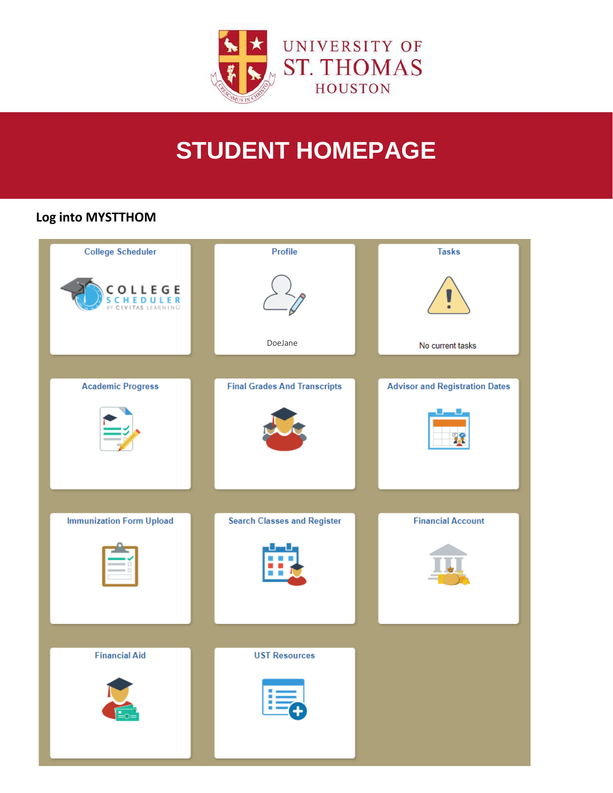

# **STUDENT HOMEPAGE**

# Log into MYSTTHOM